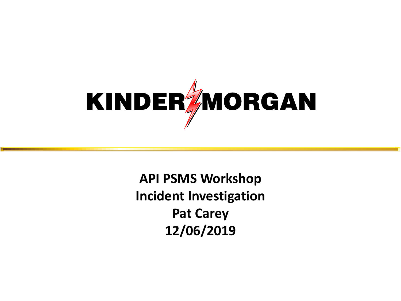

**API PSMS Workshop Incident Investigation Pat Carey 12/06/2019**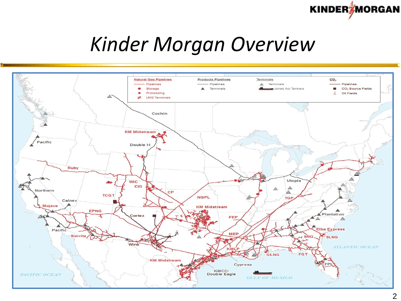

### *Kinder Morgan Overview*

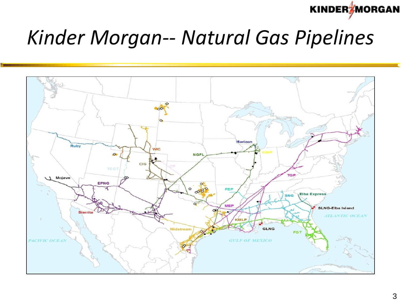**KINDER MORGAN** 

## *Kinder Morgan-- Natural Gas Pipelines*

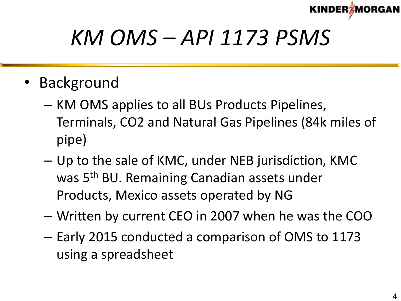

## *KM OMS – API 1173 PSMS*

- Background
	- KM OMS applies to all BUs Products Pipelines, Terminals, CO2 and Natural Gas Pipelines (84k miles of pipe)
	- Up to the sale of KMC, under NEB jurisdiction, KMC was 5<sup>th</sup> BU. Remaining Canadian assets under Products, Mexico assets operated by NG
	- Written by current CEO in 2007 when he was the COO
	- Early 2015 conducted a comparison of OMS to 1173 using a spreadsheet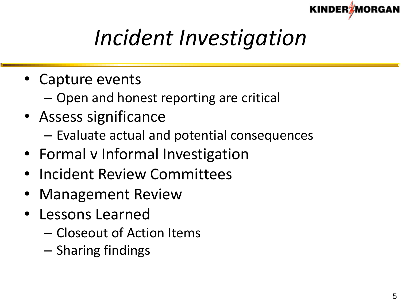

# *Incident Investigation*

- Capture events
	- Open and honest reporting are critical
- Assess significance
	- Evaluate actual and potential consequences
- Formal v Informal Investigation
- Incident Review Committees
- Management Review
- Lessons Learned
	- Closeout of Action Items
	- Sharing findings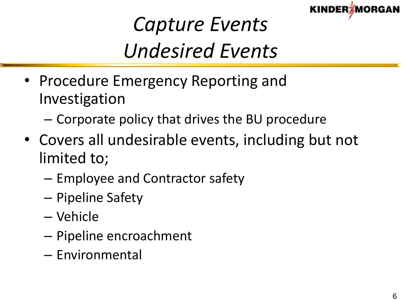

## *Capture Events Undesired Events*

- Procedure Emergency Reporting and Investigation
	- Corporate policy that drives the BU procedure
- Covers all undesirable events, including but not limited to;
	- Employee and Contractor safety
	- Pipeline Safety
	- Vehicle
	- Pipeline encroachment
	- Environmental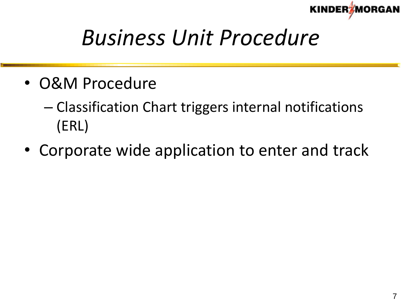

## *Business Unit Procedure*

- O&M Procedure
	- Classification Chart triggers internal notifications (ERL)
- Corporate wide application to enter and track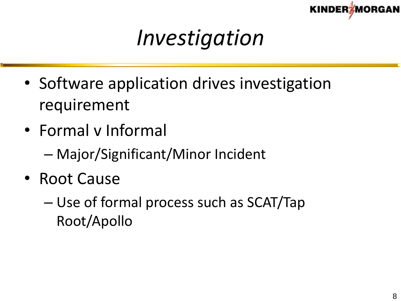

## *Investigation*

- Software application drives investigation requirement
- Formal v Informal
	- Major/Significant/Minor Incident
- Root Cause
	- Use of formal process such as SCAT/Tap Root/Apollo